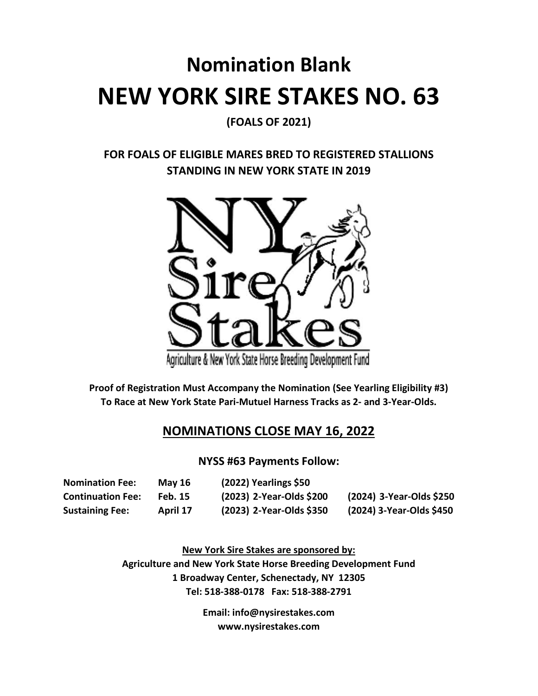# **Nomination Blank NEW YORK SIRE STAKES NO. 63**

**(FOALS OF 2021)** 

# **FOR FOALS OF ELIGIBLE MARES BRED TO REGISTERED STALLIONS STANDING IN NEW YORK STATE IN 2019**



**Proof of Registration Must Accompany the Nomination (See Yearling Eligibility #3) To Race at New York State Pari-Mutuel Harness Tracks as 2- and 3-Year-Olds.** 

# **NOMINATIONS CLOSE MAY 16, 2022**

### **NYSS #63 Payments Follow:**

| <b>Nomination Fee:</b>   | <b>May 16</b>  | $(2022)$ Yearlings \$50  |                          |
|--------------------------|----------------|--------------------------|--------------------------|
| <b>Continuation Fee:</b> | <b>Feb. 15</b> | (2023) 2-Year-Olds \$200 | (2024) 3-Year-Olds \$250 |
| <b>Sustaining Fee:</b>   | April 17       | (2023) 2-Year-Olds \$350 | (2024) 3-Year-Olds \$450 |

**New York Sire Stakes are sponsored by: Agriculture and New York State Horse Breeding Development Fund 1 Broadway Center, Schenectady, NY 12305 Tel: 518-388-0178 Fax: 518-388-2791** 

> **Email: info@nysirestakes.com www.nysirestakes.com**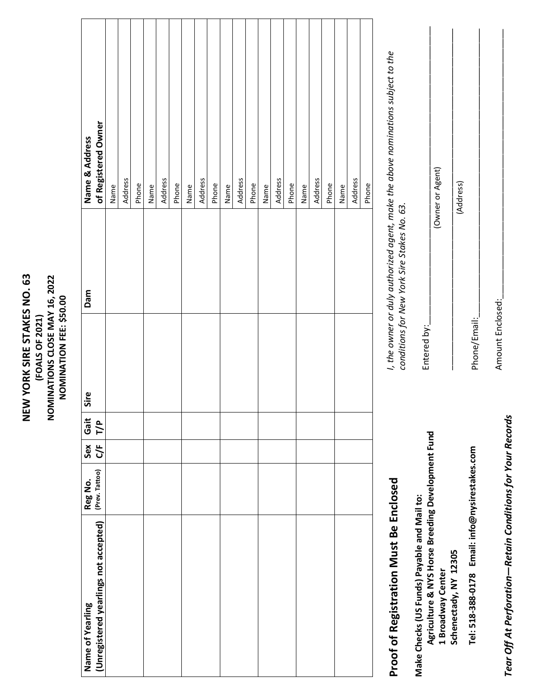| NEW YORK SIRE STAKES NO. 63 | (FOALS OF 2021) | NOMINATIONS CLOSE MAY 16, 2022 | NOMINATION FEE: \$50.00 |  |
|-----------------------------|-----------------|--------------------------------|-------------------------|--|
|                             |                 |                                |                         |  |

| Name of Yearling                       | Reg No.        | Sex            | Gait | Sire | Dam | Name & Address                                                                   |
|----------------------------------------|----------------|----------------|------|------|-----|----------------------------------------------------------------------------------|
| (Unregistered yearlings not accepted)  | (Prev. Tattoo) | 5 <sup>2</sup> | T/P  |      |     | of Registered Owner                                                              |
|                                        |                |                |      |      |     | Name                                                                             |
|                                        |                |                |      |      |     | Address                                                                          |
|                                        |                |                |      |      |     | Phone                                                                            |
|                                        |                |                |      |      |     | Name                                                                             |
|                                        |                |                |      |      |     | Address                                                                          |
|                                        |                |                |      |      |     | Phone                                                                            |
|                                        |                |                |      |      |     | Name                                                                             |
|                                        |                |                |      |      |     | Address                                                                          |
|                                        |                |                |      |      |     | Phone                                                                            |
|                                        |                |                |      |      |     | Name                                                                             |
|                                        |                |                |      |      |     | Address                                                                          |
|                                        |                |                |      |      |     | Phone                                                                            |
|                                        |                |                |      |      |     | Name                                                                             |
|                                        |                |                |      |      |     | Address                                                                          |
|                                        |                |                |      |      |     | Phone                                                                            |
|                                        |                |                |      |      |     | Name                                                                             |
|                                        |                |                |      |      |     | Address                                                                          |
|                                        |                |                |      |      |     | Phone                                                                            |
|                                        |                |                |      |      |     | Name                                                                             |
|                                        |                |                |      |      |     | Address                                                                          |
|                                        |                |                |      |      |     | Phone                                                                            |
| Proof of Registration Must Be Enclosed |                |                |      |      |     | I, the owner or duly authorized agent, make the above nominations subject to the |

# **Proof of Registration Must Be Enclosed**  ואכופט

**Agriculture & NYS Horse Breeding Development Fund**  Agriculture & NYS Horse Breeding Development Fund **Make Checks (US Funds) Payable and Mail to:**  Make Checks (US Funds) Payable and Mail to: 1 Broadway Center<br>Schenectady, NY 12305 **1 Broadway Center** 

*conditions for New York Sire Stakes No. 63.*  conditions for New York Sire Stakes No. 63.

> Tear Off At Perforation-Retain Conditions for Your Records *Tear Off At Perforation—Retain Conditions for Your Records*

Amount Enclosed:\_\_\_\_\_\_\_\_\_\_\_\_\_\_\_\_\_\_\_\_\_\_\_\_\_\_\_\_\_\_\_\_\_\_\_\_\_\_\_\_\_\_\_\_\_\_\_\_\_\_\_\_\_\_\_\_ Amount Enclosed:

Phone/Email:\_\_\_\_\_\_\_\_\_\_\_\_\_\_\_\_\_\_\_\_\_\_\_\_\_\_\_\_\_\_\_\_\_\_\_\_\_\_\_\_\_\_\_\_\_\_\_\_\_\_\_\_\_\_\_\_\_\_\_\_

(Address)

Tel: 518-388-0178 Email: info@nysirestakes.com **Tel: 518-388-0178 Email: info@nysirestakes.com** 

Phone/Email:

(Owner or Agent)

Entered by:

**Schenectady, NY 12305** 

(Owner or Agent) \_\_\_\_\_\_\_\_\_\_\_\_\_\_\_\_\_\_\_\_\_\_\_\_\_\_\_\_\_\_\_\_\_\_\_\_\_\_\_\_\_\_\_\_\_\_\_\_\_\_\_\_\_\_\_\_\_\_\_\_\_\_\_\_\_\_\_\_\_\_\_

Entered by:  $\equiv$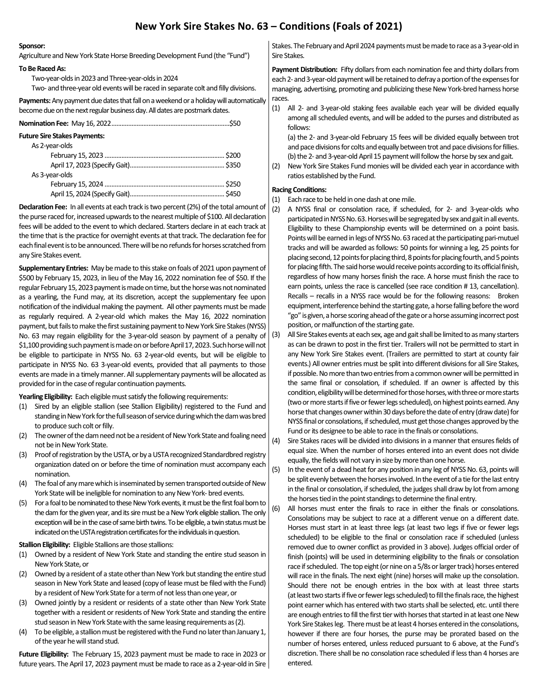## **New York Sire Stakes No. 63 – Conditions (Foals of 2021)**

#### **Sponsor:**

Agriculture and New York State Horse Breeding Development Fund (the "Fund")

#### **To Be Raced As:**

 Two-year-olds in 2023 and Three-year-olds in 2024 Two- and three-year old events will be raced in separate colt and filly divisions.

**Payments:** Any payment due dates that fall on a weekend or a holiday will automatically become due on the next regular business day. All dates are postmark dates.

| <b>Future Sire Stakes Payments:</b> |  |
|-------------------------------------|--|
| As 2-year-olds                      |  |
|                                     |  |
|                                     |  |
| As 3-year-olds                      |  |
|                                     |  |
|                                     |  |

**Declaration Fee:** In all events at each track is two percent (2%) of the total amount of the purse raced for, increased upwards to the nearest multiple of \$100. All declaration fees will be added to the event to which declared. Starters declare in at each track at the time that is the practice for overnight events at that track. The declaration fee for each final event is to be announced. There will be no refunds for horses scratched from any Sire Stakes event.

**Supplementary Entries:** May be made to this stake on foals of 2021 upon payment of \$500 by February 15, 2023, in lieu of the May 16, 2022 nomination fee of \$50. If the regular February 15, 2023 payment is made on time, but the horse was not nominated as a yearling, the Fund may, at its discretion, accept the supplementary fee upon notification of the individual making the payment. All other payments must be made as regularly required. A 2-year-old which makes the May 16, 2022 nomination payment, but fails to make the first sustaining payment to New York Sire Stakes (NYSS) No. 63 may regain eligibility for the 3-year-old season by payment of a penalty of \$1,100 providing such payment is made on or before April 17, 2023. Such horse will not be eligible to participate in NYSS No. 63 2-year-old events, but will be eligible to participate in NYSS No. 63 3-year-old events, provided that all payments to those events are made in a timely manner. All supplementary payments will be allocated as provided for in the case of regular continuation payments.

**Yearling Eligibility:** Each eligible must satisfy the following requirements:

- (1) Sired by an eligible stallion (see Stallion Eligibility) registered to the Fund and standing in New York for the full season of service during which the dam was bred to produce such colt or filly.
- (2) The owner of the dam need not be a resident of New York State and foaling need not be in New York State.
- (3) Proof of registration by the USTA, or by a USTA recognized Standardbred registry organization dated on or before the time of nomination must accompany each nomination.
- (4) The foal of any mare which is inseminated by semen transported outside of New York State will be ineligible for nomination to any New York- bred events.
- (5) For a foal to be nominated to these New York events, it must be the first foal born to the dam for the given year, and its sire must be a New York eligible stallion. The only exception will be in the case of same birth twins. To be eligible, a twin status must be indicated on the USTA registration certificates for the individuals in question.

#### **Stallion Eligibility:** Eligible Stallions are those stallions:

- (1) Owned by a resident of New York State and standing the entire stud season in New York State, or
- (2) Owned by a resident of a state other than New York but standing the entire stud season in New York State and leased (copy of lease must be filed with the Fund) by a resident of New York State for a term of not less than one year, or
- (3) Owned jointly by a resident or residents of a state other than New York State together with a resident or residents of New York State and standing the entire stud season in New York State with the same leasing requirements as (2).
- (4) To be eligible, a stallion must be registered with the Fund no later than January 1, of the year he will stand stud.

**Future Eligibility:** The February 15, 2023 payment must be made to race in 2023 or future years. The April 17, 2023 payment must be made to race as a 2-year-old in Sire

Stakes. The February and April 2024 payments must be made to race as a 3-year-old in Sire Stakes.

**Payment Distribution:** Fifty dollars from each nomination fee and thirty dollars from each 2- and 3-year-old payment will be retained to defray a portion of the expenses for managing, advertising, promoting and publicizing these New York-bred harness horse races.

(1) All 2- and 3-year-old staking fees available each year will be divided equally among all scheduled events, and will be added to the purses and distributed as follows:

 (a) the 2- and 3-year-old February 15 fees will be divided equally between trot and pace divisions for colts and equally between trot and pace divisions for fillies. (b) the 2- and 3-year-old April 15 payment will follow the horse by sex and gait.

(2) New York Sire Stakes Fund monies will be divided each year in accordance with ratios established by the Fund.

#### **Racing Conditions:**

- (1) Each race to be held in one dash at one mile.
- (2) A NYSS final or consolation race, if scheduled, for 2- and 3-year-olds who participated in NYSS No. 63. Horses will be segregated by sex and gait in all events. Eligibility to these Championship events will be determined on a point basis. Points will be earned in legs of NYSS No. 63 raced at the participating pari-mutuel tracks and will be awarded as follows: 50 points for winning a leg, 25 points for placing second, 12 points for placing third, 8 points for placing fourth, and 5 points for placing fifth. The said horse would receive points according to its official finish, regardless of how many horses finish the race. A horse must finish the race to earn points, unless the race is cancelled (see race condition # 13, cancellation). Recalls – recalls in a NYSS race would be for the following reasons: Broken equipment, interference behind the starting gate, a horse falling before the word "go" is given, a horse scoring ahead of the gate or a horse assuming incorrect post position, or malfunction of the starting gate.
- (3) All Sire Stakes events at each sex, age and gait shall be limited to as many starters as can be drawn to post in the first tier. Trailers will not be permitted to start in any New York Sire Stakes event. (Trailers are permitted to start at county fair events.) All owner entries must be split into different divisions for all Sire Stakes, if possible. No more than two entries from a common owner will be permitted in the same final or consolation, if scheduled. If an owner is affected by this condition, eligibility will be determined for those horses, with three or more starts (two or more starts if five or fewer legs scheduled), on highest points earned. Any horse that changes owner within 30 days before the date of entry (draw date) for NYSS final or consolations, if scheduled, must get those changes approved by the Fund or its designee to be able to race in the finals or consolations.
- (4) Sire Stakes races will be divided into divisions in a manner that ensures fields of equal size. When the number of horses entered into an event does not divide equally, the fields will not vary in size by more than one horse.

(5) In the event of a dead heat for any position in any leg of NYSS No. 63, points will be split evenly between the horses involved. In the event of a tie for the last entry in the final or consolation, if scheduled, the judges shall draw by lot from among the horses tied in the point standings to determine the final entry.

(6) All horses must enter the finals to race in either the finals or consolations. Consolations may be subject to race at a different venue on a different date. Horses must start in at least three legs (at least two legs if five or fewer legs scheduled) to be eligible to the final or consolation race if scheduled (unless removed due to owner conflict as provided in 3 above). Judges official order of finish (points) will be used in determining eligibility to the finals or consolation race if scheduled. The top eight (or nine on a 5/8s or larger track) horses entered will race in the finals. The next eight (nine) horses will make up the consolation. Should there not be enough entries in the box with at least three starts (at least two starts if five or fewer legs scheduled) to fill the finals race, the highest point earner which has entered with two starts shall be selected, etc. until there are enough entries to fill the first tier with horses that started in at least one New York Sire Stakes leg. There must be at least 4 horses entered in the consolations, however if there are four horses, the purse may be prorated based on the number of horses entered, unless reduced pursuant to 6 above, at the Fund's discretion. There shall be no consolation race scheduled if less than 4 horses are entered.